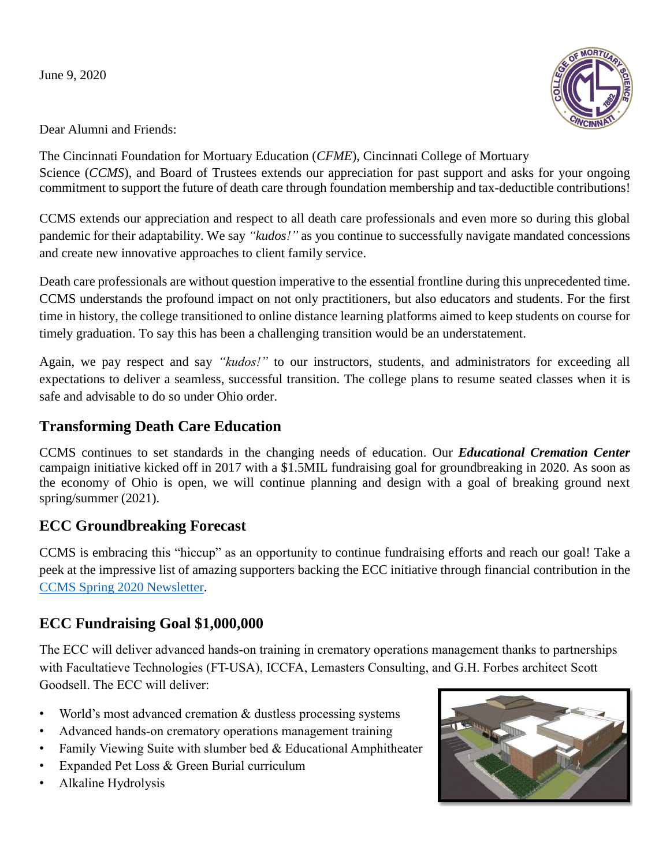June 9, 2020



Dear Alumni and Friends:

The Cincinnati Foundation for Mortuary Education (*CFME*), Cincinnati College of Mortuary Science *(CCMS)*, and Board of Trustees extends our appreciation for past support and asks for your ongoing commitment to support the future of death care through foundation membership and tax-deductible contributions!

CCMS extends our appreciation and respect to all death care professionals and even more so during this global pandemic for their adaptability. We say *"kudos!"* as you continue to successfully navigate mandated concessions and create new innovative approaches to client family service.

Death care professionals are without question imperative to the essential frontline during this unprecedented time. CCMS understands the profound impact on not only practitioners, but also educators and students. For the first time in history, the college transitioned to online distance learning platforms aimed to keep students on course for timely graduation. To say this has been a challenging transition would be an understatement.

Again, we pay respect and say *"kudos!"* to our instructors, students, and administrators for exceeding all expectations to deliver a seamless, successful transition. The college plans to resume seated classes when it is safe and advisable to do so under Ohio order.

#### **Transforming Death Care Education**

CCMS continues to set standards in the changing needs of education. Our *Educational Cremation Center* campaign initiative kicked off in 2017 with a \$1.5MIL fundraising goal for groundbreaking in 2020. As soon as the economy of Ohio is open, we will continue planning and design with a goal of breaking ground next spring/summer (2021).

#### **ECC Groundbreaking Forecast**

CCMS is embracing this "hiccup" as an opportunity to continue fundraising efforts and reach our goal! Take a peek at the impressive list of amazing supporters backing the ECC initiative through financial contribution in the [CCMS Spring 2020 Newsletter.](https://www.ccms.edu/media/about-ccms/March%202020v8.pdf)

#### **ECC Fundraising Goal \$1,000,000**

The ECC will deliver advanced hands-on training in crematory operations management thanks to partnerships with Facultatieve Technologies (FT-USA), ICCFA, Lemasters Consulting, and G.H. Forbes architect Scott Goodsell. The ECC will deliver:

- World's most advanced cremation & dustless processing systems
- Advanced hands-on crematory operations management training
- Family Viewing Suite with slumber bed & Educational Amphitheater
- Expanded Pet Loss & Green Burial curriculum
- Alkaline Hydrolysis

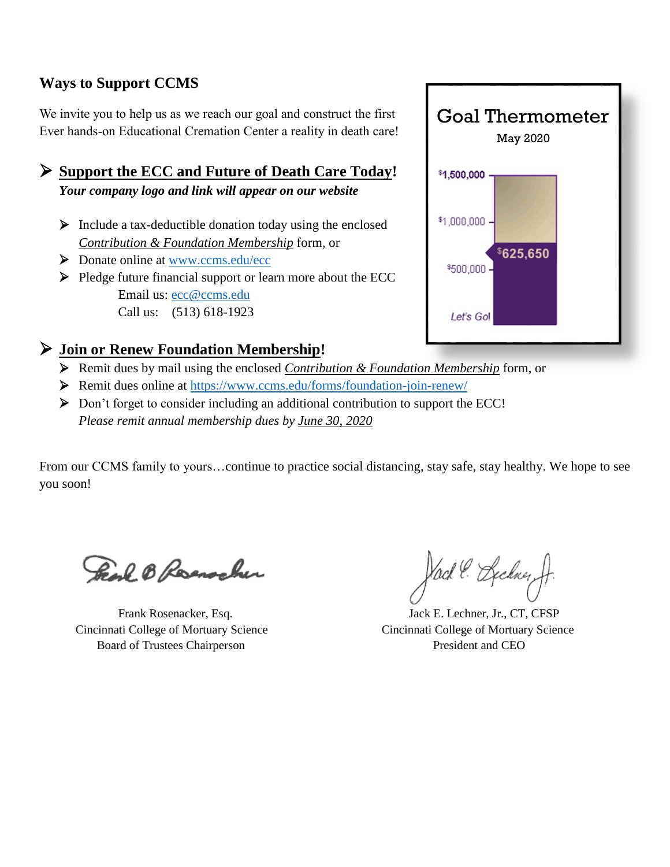#### **Ways to Support CCMS**

We invite you to help us as we reach our goal and construct the first Ever hands-on Educational Cremation Center a reality in death care!

 **Support the ECC and Future of Death Care Today!** *Your company logo and link will appear on our website*

- $\triangleright$  Include a tax-deductible donation today using the enclosed *Contribution & Foundation Membership* form, or
- ▶ Donate online at [www.ccms.edu/ecc](http://www.ccms.edu/ecc)
- $\triangleright$  Pledge future financial support or learn more about the ECC Email us: [ecc@ccms.edu](mailto:ecc@ccms.edu) Call us: (513) 618-1923

# Goal Thermometer May 2020\$1,500,000 \$1,000,000  $625.650$ \$500,000 Let's Go!

#### **Join or Renew Foundation Membership!**

- Remit dues by mail using the enclosed *Contribution & Foundation Membership* form, or
- Remit dues online at<https://www.ccms.edu/forms/foundation-join-renew/>
- $\triangleright$  Don't forget to consider including an additional contribution to support the ECC! *Please remit annual membership dues by June 30, 2020*

From our CCMS family to yours…continue to practice social distancing, stay safe, stay healthy. We hope to see you soon!

Freak B Reservation

 Cincinnati College of Mortuary Science Cincinnati College of Mortuary Science Board of Trustees Chairperson **President and CEO** 

Vack & Beckner,

Frank Rosenacker, Esq. Jack E. Lechner, Jr., CT, CFSP